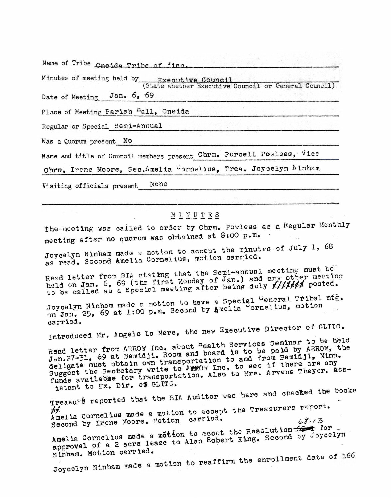| Name of Tribe Oneida Tribe of "isc.                                                                                                                                                                                                                                                                                                          |
|----------------------------------------------------------------------------------------------------------------------------------------------------------------------------------------------------------------------------------------------------------------------------------------------------------------------------------------------|
| Minutes of meeting held by Fxecutive Council<br>(State whether Executive Council or General Council)<br>Date of Meeting Jan. 6, 69                                                                                                                                                                                                           |
| Place of Meeting Parish <sup>n</sup> all, Oneida                                                                                                                                                                                                                                                                                             |
| Regular or Special Semi-Annual                                                                                                                                                                                                                                                                                                               |
| Was a Quorum present No                                                                                                                                                                                                                                                                                                                      |
| Name and title of Council members present Chrm. Purcell Powless, Vice                                                                                                                                                                                                                                                                        |
| Chrm. Irene Moore, Sec. Amelia Cornelius, Trea. Joycelyn Ninham                                                                                                                                                                                                                                                                              |
| None<br>Visiting officials present                                                                                                                                                                                                                                                                                                           |
|                                                                                                                                                                                                                                                                                                                                              |
| MINUTES                                                                                                                                                                                                                                                                                                                                      |
| The meeting was called to order by Chrm. Powless as a Regular Monthly<br>meeting after no quorum was obtained at 8:00 p.m.                                                                                                                                                                                                                   |
| $\ldots$ $\ldots$ $\ldots$ $\ldots$ $\ldots$ $\ldots$ $\ldots$ $\ldots$ $\ldots$ $\ldots$ $\ldots$ $\ldots$ $\ldots$ $\ldots$ $\ldots$ $\ldots$ $\ldots$ $\ldots$ $\ldots$ $\ldots$ $\ldots$ $\ldots$ $\ldots$ $\ldots$ $\ldots$ $\ldots$ $\ldots$ $\ldots$ $\ldots$ $\ldots$ $\ldots$ $\ldots$ $\ldots$ $\ldots$ $\ldots$ $\ldots$ $\ldots$ |

green allet were aller a statistic

Joycelyn Ninham made a motion to accept the minutes as read. Second Amelia Cornelius, motion carried.

Read letter from BIA stateng that the Semi-annual meeting must be held on Jan. 6, 69 (the first Monday of Jan.) and any other meeting to be called as a Special meeting after being duly hitless posted.

Joycelyn Ninham made a motion to have a Special General Tribal mtg. on Jan. 25, 69 at 1:00 p.m. Second by Amelia Cornelius, motion carried.

Introduced Mr. Angelo La Mere, the new Executive Director of GLITC.

Read letter from ARROW Inc. about <sup>n</sup>ealth Services Seminar to be held Jan. 27-31, 69 at Bemidji. Room and board is to be paid by ARROW, the deligate must obtain own transportation to and from Bemidji, Minn. Suggest the Sectetary write to ARROW Inc. to see if there are any funds available for transportation. Also to Mrs. Arvena Thayer, Assistant to Ex. Dir. of GLITC.

Treasuet reported that the BIA Auditor was here and checked the books Amelia Cornelius made a motion to accept the Treasurers report. Second by Irene Moore. Motion carried.  $68.13$ Amelia Cornelius made a motton to accot the Resolution for for approval of a 2 acre lease to Alan Robert King. Second by Joycelyn Ninham. Motion carried. Joycelyn Ninham made a motion to reaffirm the enrollment date of 166